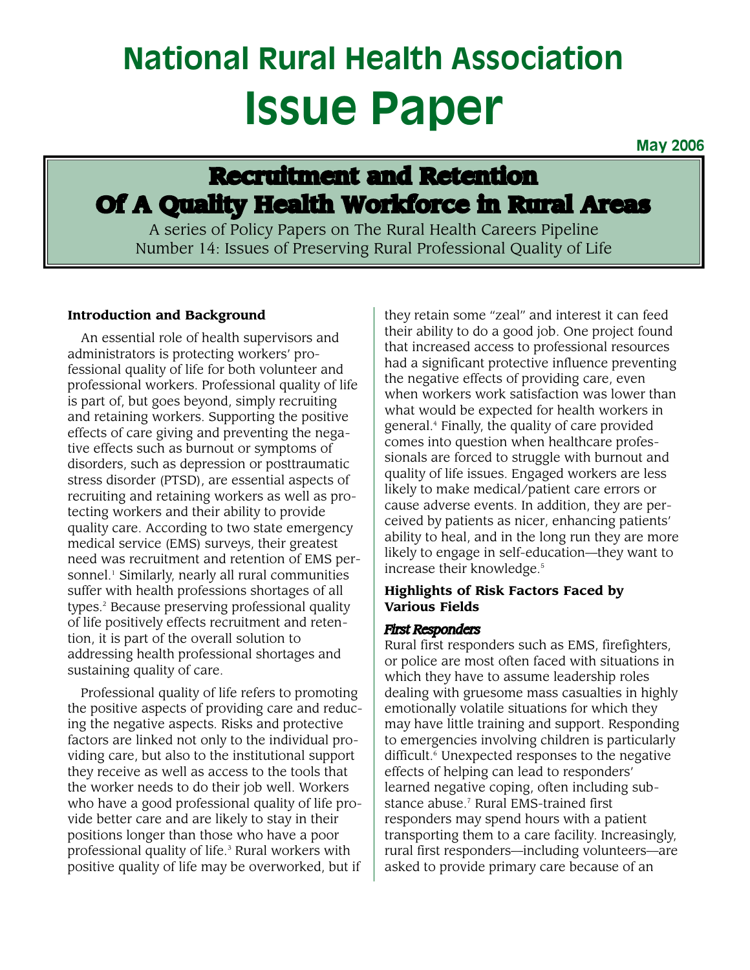# **National Rural Health Association Issue Paper**

**May 2006**

# **Recruitment and Retention Of A Quality Health Workforce in Rural Areas**

A series of Policy Papers on The Rural Health Careers Pipeline Number 14: Issues of Preserving Rural Professional Quality of Life

# **Introduction and Background**

An essential role of health supervisors and administrators is protecting workers' professional quality of life for both volunteer and professional workers. Professional quality of life is part of, but goes beyond, simply recruiting and retaining workers. Supporting the positive effects of care giving and preventing the negative effects such as burnout or symptoms of disorders, such as depression or posttraumatic stress disorder (PTSD), are essential aspects of recruiting and retaining workers as well as protecting workers and their ability to provide quality care. According to two state emergency medical service (EMS) surveys, their greatest need was recruitment and retention of EMS personnel.<sup>1</sup> Similarly, nearly all rural communities suffer with health professions shortages of all types.2 Because preserving professional quality of life positively effects recruitment and retention, it is part of the overall solution to addressing health professional shortages and sustaining quality of care.

Professional quality of life refers to promoting the positive aspects of providing care and reducing the negative aspects. Risks and protective factors are linked not only to the individual providing care, but also to the institutional support they receive as well as access to the tools that the worker needs to do their job well. Workers who have a good professional quality of life provide better care and are likely to stay in their positions longer than those who have a poor professional quality of life.<sup>3</sup> Rural workers with positive quality of life may be overworked, but if

they retain some "zeal" and interest it can feed their ability to do a good job. One project found that increased access to professional resources had a significant protective influence preventing the negative effects of providing care, even when workers work satisfaction was lower than what would be expected for health workers in general.4 Finally, the quality of care provided comes into question when healthcare professionals are forced to struggle with burnout and quality of life issues. Engaged workers are less likely to make medical/patient care errors or cause adverse events. In addition, they are perceived by patients as nicer, enhancing patients' ability to heal, and in the long run they are more likely to engage in self-education—they want to increase their knowledge.<sup>5</sup>

# **Highlights of Risk Factors Faced by Various Fields**

## *First Responders*

Rural first responders such as EMS, firefighters, or police are most often faced with situations in which they have to assume leadership roles dealing with gruesome mass casualties in highly emotionally volatile situations for which they may have little training and support. Responding to emergencies involving children is particularly difficult.<sup>6</sup> Unexpected responses to the negative effects of helping can lead to responders' learned negative coping, often including substance abuse.<sup>7</sup> Rural EMS-trained first responders may spend hours with a patient transporting them to a care facility. Increasingly, rural first responders—including volunteers—are asked to provide primary care because of an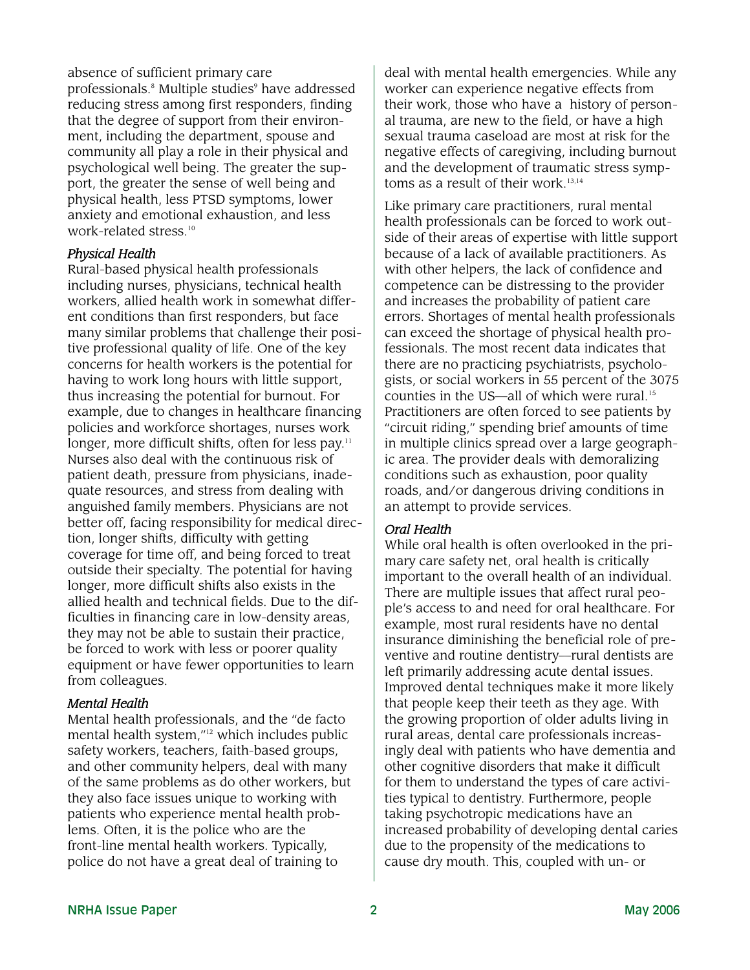absence of sufficient primary care professionals.<sup>8</sup> Multiple studies<sup>9</sup> have addressed reducing stress among first responders, finding that the degree of support from their environment, including the department, spouse and community all play a role in their physical and psychological well being. The greater the support, the greater the sense of well being and physical health, less PTSD symptoms, lower anxiety and emotional exhaustion, and less work-related stress.<sup>10</sup>

#### *Physical Health*

Rural-based physical health professionals including nurses, physicians, technical health workers, allied health work in somewhat different conditions than first responders, but face many similar problems that challenge their positive professional quality of life. One of the key concerns for health workers is the potential for having to work long hours with little support, thus increasing the potential for burnout. For example, due to changes in healthcare financing policies and workforce shortages, nurses work longer, more difficult shifts, often for less pay.'' Nurses also deal with the continuous risk of patient death, pressure from physicians, inadequate resources, and stress from dealing with anguished family members. Physicians are not better off, facing responsibility for medical direction, longer shifts, difficulty with getting coverage for time off, and being forced to treat outside their specialty. The potential for having longer, more difficult shifts also exists in the allied health and technical fields. Due to the difficulties in financing care in low-density areas, they may not be able to sustain their practice, be forced to work with less or poorer quality equipment or have fewer opportunities to learn from colleagues.

#### *Mental Health*

Mental health professionals, and the "de facto mental health system,"12 which includes public safety workers, teachers, faith-based groups, and other community helpers, deal with many of the same problems as do other workers, but they also face issues unique to working with patients who experience mental health problems. Often, it is the police who are the front-line mental health workers. Typically, police do not have a great deal of training to

deal with mental health emergencies. While any worker can experience negative effects from their work, those who have a history of personal trauma, are new to the field, or have a high sexual trauma caseload are most at risk for the negative effects of caregiving, including burnout and the development of traumatic stress symptoms as a result of their work. $13,14$ 

Like primary care practitioners, rural mental health professionals can be forced to work outside of their areas of expertise with little support because of a lack of available practitioners. As with other helpers, the lack of confidence and competence can be distressing to the provider and increases the probability of patient care errors. Shortages of mental health professionals can exceed the shortage of physical health professionals. The most recent data indicates that there are no practicing psychiatrists, psychologists, or social workers in 55 percent of the 3075 counties in the US—all of which were rural.<sup>15</sup> Practitioners are often forced to see patients by "circuit riding," spending brief amounts of time in multiple clinics spread over a large geographic area. The provider deals with demoralizing conditions such as exhaustion, poor quality roads, and/or dangerous driving conditions in an attempt to provide services.

#### *Oral Health*

While oral health is often overlooked in the primary care safety net, oral health is critically important to the overall health of an individual. There are multiple issues that affect rural people's access to and need for oral healthcare. For example, most rural residents have no dental insurance diminishing the beneficial role of preventive and routine dentistry—rural dentists are left primarily addressing acute dental issues. Improved dental techniques make it more likely that people keep their teeth as they age. With the growing proportion of older adults living in rural areas, dental care professionals increasingly deal with patients who have dementia and other cognitive disorders that make it difficult for them to understand the types of care activities typical to dentistry. Furthermore, people taking psychotropic medications have an increased probability of developing dental caries due to the propensity of the medications to cause dry mouth. This, coupled with un- or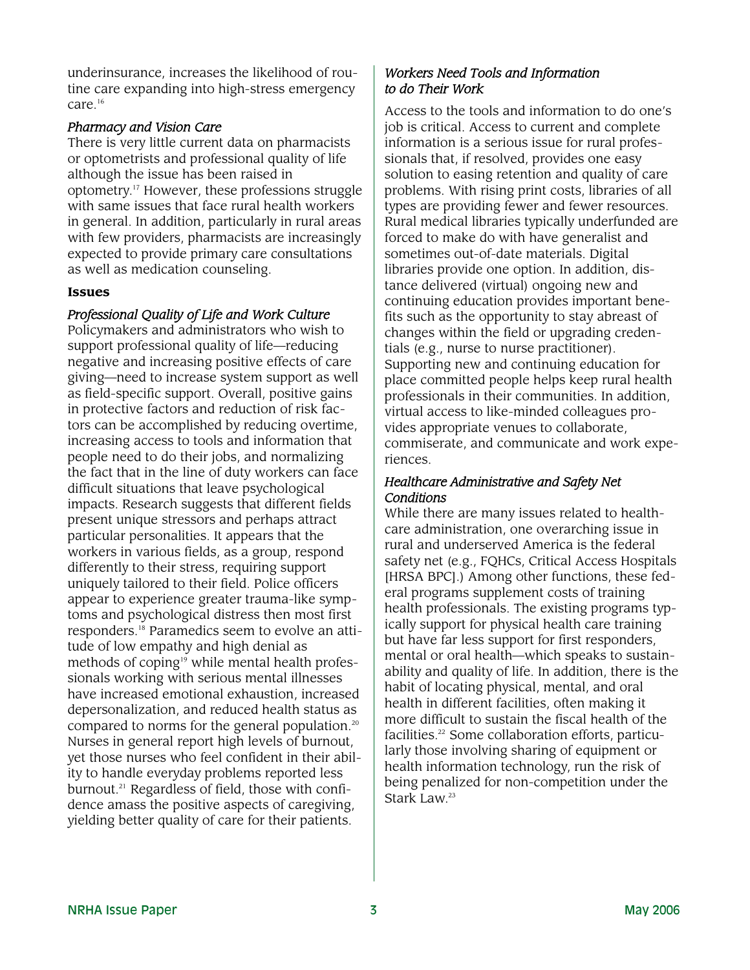underinsurance, increases the likelihood of routine care expanding into high-stress emergency care.16

# *Pharmacy and Vision Care*

There is very little current data on pharmacists or optometrists and professional quality of life although the issue has been raised in optometry. <sup>17</sup> However, these professions struggle with same issues that face rural health workers in general. In addition, particularly in rural areas with few providers, pharmacists are increasingly expected to provide primary care consultations as well as medication counseling.

## **Issues**

# *Professional Quality of Life and Work Culture*

Policymakers and administrators who wish to support professional quality of life—reducing negative and increasing positive effects of care giving—need to increase system support as well as field-specific support. Overall, positive gains in protective factors and reduction of risk factors can be accomplished by reducing overtime, increasing access to tools and information that people need to do their jobs, and normalizing the fact that in the line of duty workers can face difficult situations that leave psychological impacts. Research suggests that different fields present unique stressors and perhaps attract particular personalities. It appears that the workers in various fields, as a group, respond differently to their stress, requiring support uniquely tailored to their field. Police officers appear to experience greater trauma-like symptoms and psychological distress then most first responders.18 Paramedics seem to evolve an attitude of low empathy and high denial as methods of coping<sup>19</sup> while mental health professionals working with serious mental illnesses have increased emotional exhaustion, increased depersonalization, and reduced health status as compared to norms for the general population.20 Nurses in general report high levels of burnout, yet those nurses who feel confident in their ability to handle everyday problems reported less burnout.<sup>21</sup> Regardless of field, those with confidence amass the positive aspects of caregiving, yielding better quality of care for their patients.

# *Workers Need Tools and Information to do Their Work*

Access to the tools and information to do one's job is critical. Access to current and complete information is a serious issue for rural professionals that, if resolved, provides one easy solution to easing retention and quality of care problems. With rising print costs, libraries of all types are providing fewer and fewer resources. Rural medical libraries typically underfunded are forced to make do with have generalist and sometimes out-of-date materials. Digital libraries provide one option. In addition, distance delivered (virtual) ongoing new and continuing education provides important benefits such as the opportunity to stay abreast of changes within the field or upgrading credentials (e.g., nurse to nurse practitioner). Supporting new and continuing education for place committed people helps keep rural health professionals in their communities. In addition, virtual access to like-minded colleagues provides appropriate venues to collaborate, commiserate, and communicate and work experiences.

## *Healthcare Administrative and Safety Net Conditions*

While there are many issues related to healthcare administration, one overarching issue in rural and underserved America is the federal safety net (e.g., FQHCs, Critical Access Hospitals [HRSA BPC].) Among other functions, these federal programs supplement costs of training health professionals. The existing programs typically support for physical health care training but have far less support for first responders, mental or oral health—which speaks to sustainability and quality of life. In addition, there is the habit of locating physical, mental, and oral health in different facilities, often making it more difficult to sustain the fiscal health of the facilities.<sup>22</sup> Some collaboration efforts, particularly those involving sharing of equipment or health information technology, run the risk of being penalized for non-competition under the Stark Law. 23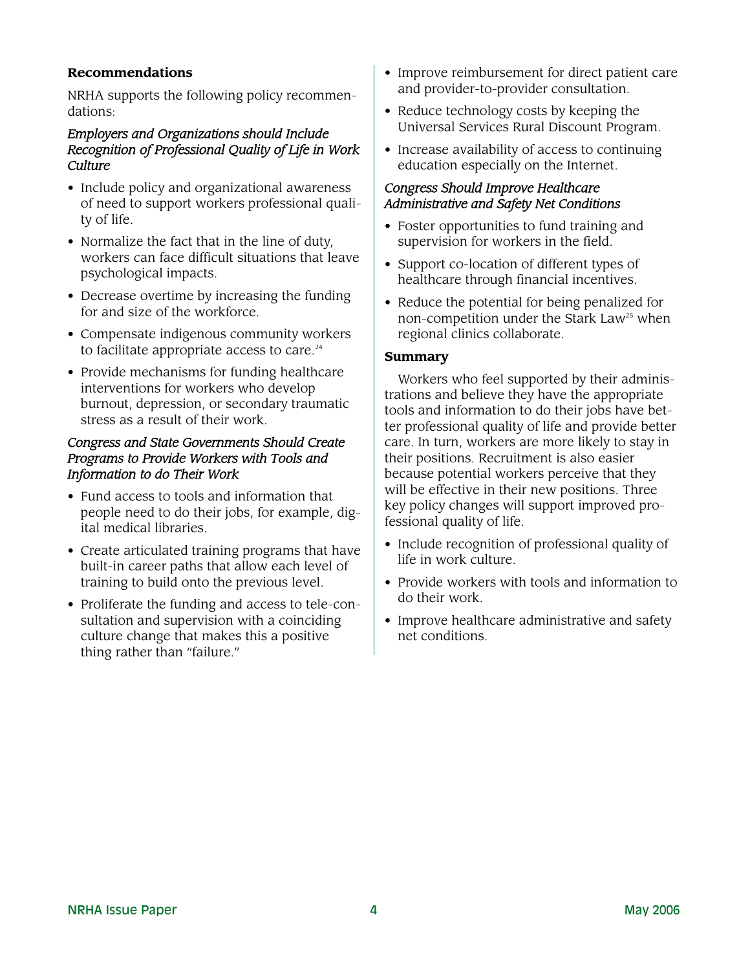### **Recommendations**

NRHA supports the following policy recommendations:

#### *Employers and Organizations should Include Recognition of Professional Quality of Life in Work Culture*

- Include policy and organizational awareness of need to support workers professional quality of life.
- Normalize the fact that in the line of duty, workers can face difficult situations that leave psychological impacts.
- Decrease overtime by increasing the funding for and size of the workforce.
- Compensate indigenous community workers to facilitate appropriate access to care.<sup>24</sup>
- Provide mechanisms for funding healthcare interventions for workers who develop burnout, depression, or secondary traumatic stress as a result of their work.

# *Congress and State Governments Should Create Programs to Provide Workers with Tools and Information to do Their Work*

- Fund access to tools and information that people need to do their jobs, for example, digital medical libraries.
- Create articulated training programs that have built-in career paths that allow each level of training to build onto the previous level.
- Proliferate the funding and access to tele-consultation and supervision with a coinciding culture change that makes this a positive thing rather than "failure."
- Improve reimbursement for direct patient care and provider-to-provider consultation.
- Reduce technology costs by keeping the Universal Services Rural Discount Program.
- Increase availability of access to continuing education especially on the Internet.

# *Congress Should Improve Healthcare Administrative and Safety Net Conditions*

- Foster opportunities to fund training and supervision for workers in the field.
- Support co-location of different types of healthcare through financial incentives.
- Reduce the potential for being penalized for non-competition under the Stark Law<sup>25</sup> when regional clinics collaborate.

#### **Summary**

Workers who feel supported by their administrations and believe they have the appropriate tools and information to do their jobs have better professional quality of life and provide better care. In turn, workers are more likely to stay in their positions. Recruitment is also easier because potential workers perceive that they will be effective in their new positions. Three key policy changes will support improved professional quality of life.

- Include recognition of professional quality of life in work culture.
- Provide workers with tools and information to do their work.
- Improve healthcare administrative and safety net conditions.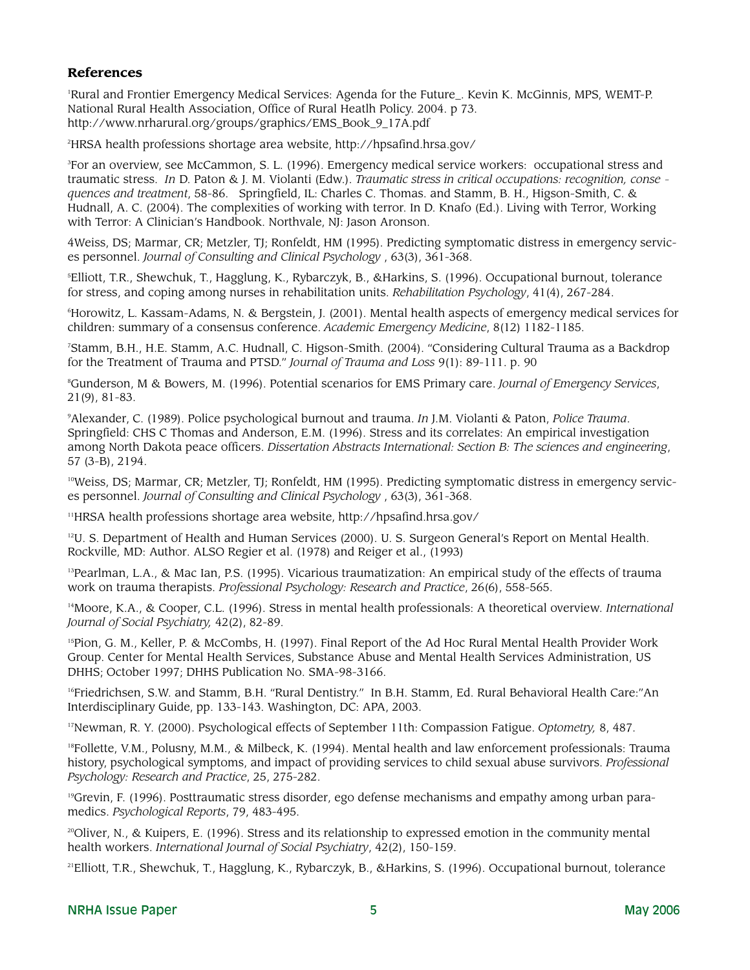#### **References**

1 Rural and Frontier Emergency Medical Services: Agenda for the Future\_. Kevin K. McGinnis, MPS, WEMT-P. National Rural Health Association, Office of Rural Heatlh Policy. 2004. p 73. http://www.nrharural.org/groups/graphics/EMS\_Book\_9\_17A.pdf

2 HRSA health professions shortage area website, http://hpsafind.hrsa.gov/

3 For an overview, see McCammon, S. L. (1996). Emergency medical service workers: occupational stress and traumatic stress. *In* D. Paton & J. M. Violanti (Edw.). *Traumatic stress in critical occupations: recognition, conse quences and treatment*, 58-86. Springfield, IL: Charles C. Thomas. and Stamm, B. H., Higson-Smith, C. & Hudnall, A. C. (2004). The complexities of working with terror. In D. Knafo (Ed.). Living with Terror, Working with Terror: A Clinician's Handbook. Northvale, NJ: Jason Aronson.

4Weiss, DS; Marmar, CR; Metzler, TJ; Ronfeldt, HM (1995). Predicting symptomatic distress in emergency services personnel. *Journal of Consulting and Clinical Psychology* , 63(3), 361-368.

5 Elliott, T.R., Shewchuk, T., Hagglung, K., Rybarczyk, B., &Harkins, S. (1996). Occupational burnout, tolerance for stress, and coping among nurses in rehabilitation units. *Rehabilitation Psychology*, 41(4), 267-284.

6 Horowitz, L. Kassam-Adams, N. & Bergstein, J. (2001). Mental health aspects of emergency medical services for children: summary of a consensus conference. *Academic Emergency Medicine*, 8(12) 1182-1185.

7 Stamm, B.H., H.E. Stamm, A.C. Hudnall, C. Higson-Smith. (2004). "Considering Cultural Trauma as a Backdrop for the Treatment of Trauma and PTSD." *Journal of Trauma and Loss* 9(1): 89-111. p. 90

8 Gunderson, M & Bowers, M. (1996). Potential scenarios for EMS Primary care. *Journal of Emergency Services*, 21(9), 81-83.

9 Alexander, C. (1989). Police psychological burnout and trauma. *In* J.M. Violanti & Paton, *Police Trauma*. Springfield: CHS C Thomas and Anderson, E.M. (1996). Stress and its correlates: An empirical investigation among North Dakota peace officers. *Dissertation Abstracts International: Section B: The sciences and engineering*, 57 (3-B), 2194.

10Weiss, DS; Marmar, CR; Metzler, TJ; Ronfeldt, HM (1995). Predicting symptomatic distress in emergency services personnel. *Journal of Consulting and Clinical Psychology* , 63(3), 361-368.

11HRSA health professions shortage area website, http://hpsafind.hrsa.gov/

 $12$ U. S. Department of Health and Human Services (2000). U. S. Surgeon General's Report on Mental Health. Rockville, MD: Author. ALSO Regier et al. (1978) and Reiger et al., (1993)

13Pearlman, L.A., & Mac Ian, P.S. (1995). Vicarious traumatization: An empirical study of the effects of trauma work on trauma therapists. *Professional Psychology: Research and Practice*, 26(6), 558-565.

14Moore, K.A., & Cooper, C.L. (1996). Stress in mental health professionals: A theoretical overview. *International Journal of Social Psychiatry,* 42(2), 82-89.

15Pion, G. M., Keller, P. & McCombs, H. (1997). Final Report of the Ad Hoc Rural Mental Health Provider Work Group. Center for Mental Health Services, Substance Abuse and Mental Health Services Administration, US DHHS; October 1997; DHHS Publication No. SMA-98-3166.

16Friedrichsen, S.W. and Stamm, B.H. "Rural Dentistry." In B.H. Stamm, Ed. Rural Behavioral Health Care:"An Interdisciplinary Guide, pp. 133-143. Washington, DC: APA, 2003.

17Newman, R. Y. (2000). Psychological effects of September 11th: Compassion Fatigue. *Optometry,* 8, 487.

18Follette, V.M., Polusny, M.M., & Milbeck, K. (1994). Mental health and law enforcement professionals: Trauma history, psychological symptoms, and impact of providing services to child sexual abuse survivors. *Professional Psychology: Research and Practice*, 25, 275-282.

 $19G$ revin, F. (1996). Posttraumatic stress disorder, ego defense mechanisms and empathy among urban paramedics. *Psychological Reports*, 79, 483-495.

 $20$ Oliver, N., & Kuipers, E. (1996). Stress and its relationship to expressed emotion in the community mental health workers. *International Journal of Social Psychiatry*, 42(2), 150-159.

21Elliott, T.R., Shewchuk, T., Hagglung, K., Rybarczyk, B., &Harkins, S. (1996). Occupational burnout, tolerance